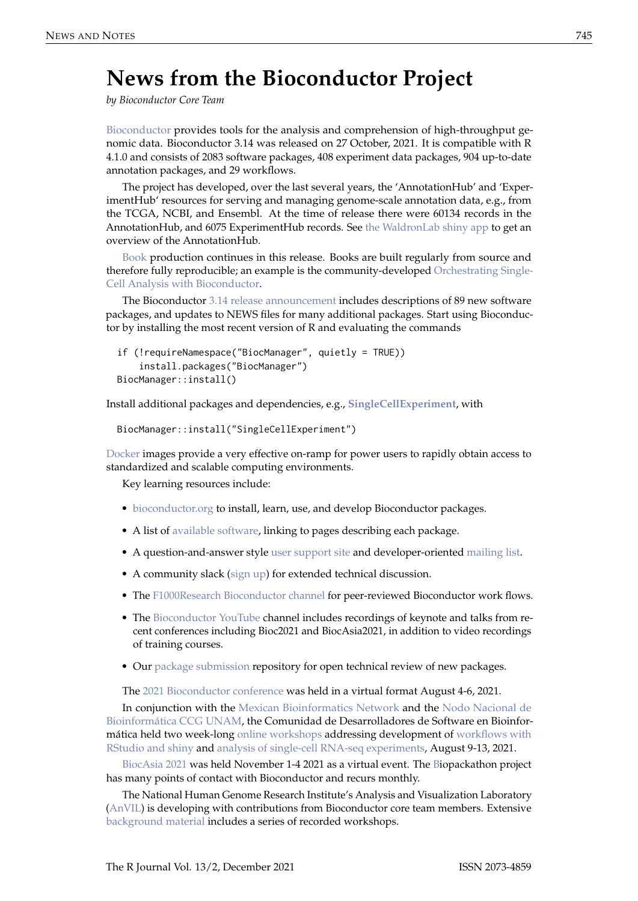## **News from the Bioconductor Project**

*by Bioconductor Core Team*

[Bioconductor](https://bioconductor.org) provides tools for the analysis and comprehension of high-throughput genomic data. Bioconductor 3.14 was released on 27 October, 2021. It is compatible with R 4.1.0 and consists of 2083 software packages, 408 experiment data packages, 904 up-to-date annotation packages, and 29 workflows.

The project has developed, over the last several years, the 'AnnotationHub' and 'ExperimentHub' resources for serving and managing genome-scale annotation data, e.g., from the TCGA, NCBI, and Ensembl. At the time of release there were 60134 records in the AnnotationHub, and 6075 ExperimentHub records. See [the WaldronLab shiny app](https://shiny.sph.cuny.edu/AnnotationHubShiny/) to get an overview of the AnnotationHub.

[Book](https://bioconductor.org/books/release/) production continues in this release. Books are built regularly from source and therefore fully reproducible; an example is the community-developed [Orchestrating Single-](https://bioconductor.org/books/release/OSCA/)[Cell Analysis with Bioconductor.](https://bioconductor.org/books/release/OSCA/)

The Bioconductor [3.14 release announcement](https://bioconductor.org/news/bioc_3_14_release/) includes descriptions of 89 new software packages, and updates to NEWS files for many additional packages. Start using Bioconductor by installing the most recent version of R and evaluating the commands

```
if (!requireNamespace("BiocManager", quietly = TRUE))
    install.packages("BiocManager")
BiocManager::install()
```
Install additional packages and dependencies, e.g., **[SingleCellExperiment](https://www.bioconductor.org/packages/release/bioc/html/SingleCellExperiment.html)**, with

```
BiocManager::install("SingleCellExperiment")
```
[Docker](https://bioconductor.org/help/docker/) images provide a very effective on-ramp for power users to rapidly obtain access to standardized and scalable computing environments.

Key learning resources include:

- [bioconductor.org](https://bioconductor.org) to install, learn, use, and develop Bioconductor packages.
- A list of [available software,](https://bioconductor.org/packages) linking to pages describing each package.
- A question-and-answer style [user support site](https://support.bioconductor.org) and developer-oriented [mailing list.](https://stat.ethz.ch/mailman/listinfo/bioc-devel)
- A community slack [\(sign up\)](https://bioc-community.herokuapp.com/) for extended technical discussion.
- The [F1000Research Bioconductor channel](https://f1000research.com/channels/bioconductor) for peer-reviewed Bioconductor work flows.
- The [Bioconductor YouTube](https://www.youtube.com/user/bioconductor) channel includes recordings of keynote and talks from recent conferences including Bioc2021 and BiocAsia2021, in addition to video recordings of training courses.
- Our [package submission](https://github.com/Bioconductor/Contributions) repository for open technical review of new packages.

The [2021 Bioconductor conference](https://bioc2021.bioconductor.org/) was held in a virtual format August 4-6, 2021.

In conjunction with the [Mexican Bioinformatics Network](https://twitter.com/RBioinformatica) and the [Nodo Nacional de](https://twitter.com/nnb_unam) [Bioinformática CCG UNAM,](https://twitter.com/nnb_unam) the Comunidad de Desarrolladores de Software en Bioinformática held two week-long [online workshops](https://comunidadbioinfo.github.io/post/cdsb-2021-workshops/#.YOgqyhNuelY) addressing development of [workflows with](https://comunidadbioinfo.github.io/cdsb2021_workflows/) [RStudio and shiny](https://comunidadbioinfo.github.io/cdsb2021_workflows/) and [analysis of single-cell RNA-seq experiments,](https://comunidadbioinfo.github.io/cdsb2021_scRNAseq/) August 9-13, 2021.

[BiocAsia 2021](https://biocasia2021.bioconductor.org/) was held November 1-4 2021 as a virtual event. The [Bi](https://sites.google.com/view/biopackathon)opackathon project has many points of contact with Bioconductor and recurs monthly.

The National Human Genome Research Institute's Analysis and Visualization Laboratory [\(AnVIL\)](https://anvilproject.org) is developing with contributions from Bioconductor core team members. Extensive [background material](https://anvilproject.org/learn/interactive-analysis/getting-started-with-bioconductor) includes a series of recorded workshops.